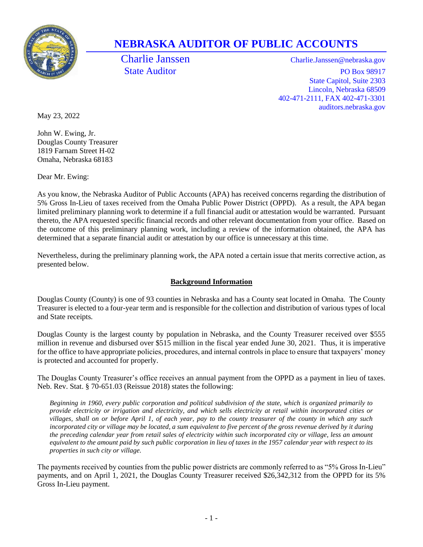

# **NEBRASKA AUDITOR OF PUBLIC ACCOUNTS**

Charlie Janssen Charlie.Janssen@nebraska.gov State Auditor PO Box 98917 State Capitol, Suite 2303 Lincoln, Nebraska 68509 402-471-2111, FAX 402-471-3301 auditors.nebraska.gov

May 23, 2022

John W. Ewing, Jr. Douglas County Treasurer 1819 Farnam Street H-02 Omaha, Nebraska 68183

Dear Mr. Ewing:

As you know, the Nebraska Auditor of Public Accounts (APA) has received concerns regarding the distribution of 5% Gross In-Lieu of taxes received from the Omaha Public Power District (OPPD). As a result, the APA began limited preliminary planning work to determine if a full financial audit or attestation would be warranted. Pursuant thereto, the APA requested specific financial records and other relevant documentation from your office. Based on the outcome of this preliminary planning work, including a review of the information obtained, the APA has determined that a separate financial audit or attestation by our office is unnecessary at this time.

Nevertheless, during the preliminary planning work, the APA noted a certain issue that merits corrective action, as presented below.

### **Background Information**

Douglas County (County) is one of 93 counties in Nebraska and has a County seat located in Omaha. The County Treasurer is elected to a four-year term and is responsible for the collection and distribution of various types of local and State receipts.

Douglas County is the largest county by population in Nebraska, and the County Treasurer received over \$555 million in revenue and disbursed over \$515 million in the fiscal year ended June 30, 2021. Thus, it is imperative for the office to have appropriate policies, procedures, and internal controls in place to ensure that taxpayers' money is protected and accounted for properly.

The Douglas County Treasurer's office receives an annual payment from the OPPD as a payment in lieu of taxes. Neb. Rev. Stat. § 70-651.03 (Reissue 2018) states the following:

*Beginning in 1960, every public corporation and political subdivision of the state, which is organized primarily to provide electricity or irrigation and electricity, and which sells electricity at retail within incorporated cities or villages, shall on or before April 1, of each year, pay to the county treasurer of the county in which any such incorporated city or village may be located, a sum equivalent to five percent of the gross revenue derived by it during the preceding calendar year from retail sales of electricity within such incorporated city or village, less an amount equivalent to the amount paid by such public corporation in lieu of taxes in the 1957 calendar year with respect to its properties in such city or village.*

The payments received by counties from the public power districts are commonly referred to as "5% Gross In-Lieu" payments, and on April 1, 2021, the Douglas County Treasurer received \$26,342,312 from the OPPD for its 5% Gross In-Lieu payment.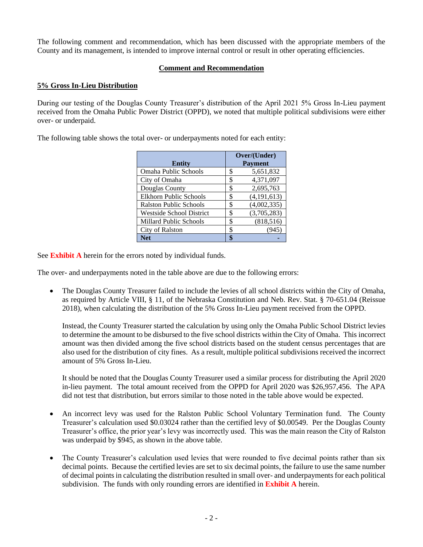The following comment and recommendation, which has been discussed with the appropriate members of the County and its management, is intended to improve internal control or result in other operating efficiencies.

#### **Comment and Recommendation**

#### **5% Gross In-Lieu Distribution**

During our testing of the Douglas County Treasurer's distribution of the April 2021 5% Gross In-Lieu payment received from the Omaha Public Power District (OPPD), we noted that multiple political subdivisions were either over- or underpaid.

The following table shows the total over- or underpayments noted for each entity:

| <b>Entity</b>                   | Over/(Under)<br><b>Payment</b> |  |  |  |
|---------------------------------|--------------------------------|--|--|--|
| <b>Omaha Public Schools</b>     | 5,651,832<br>\$                |  |  |  |
| City of Omaha                   | 4,371,097<br>\$                |  |  |  |
| Douglas County                  | 2,695,763<br>\$                |  |  |  |
| Elkhorn Public Schools          | (4, 191, 613)<br>\$            |  |  |  |
| <b>Ralston Public Schools</b>   | (4,002,335)<br>\$              |  |  |  |
| <b>Westside School District</b> | (3,705,283)<br>\$              |  |  |  |
| <b>Millard Public Schools</b>   | (818, 516)<br>\$               |  |  |  |
| City of Ralston                 | \$<br>(945                     |  |  |  |
| Net                             | ¢                              |  |  |  |

See **Exhibit A** herein for the errors noted by individual funds.

The over- and underpayments noted in the table above are due to the following errors:

• The Douglas County Treasurer failed to include the levies of all school districts within the City of Omaha, as required by Article VIII, § 11, of the Nebraska Constitution and Neb. Rev. Stat. § 70-651.04 (Reissue 2018), when calculating the distribution of the 5% Gross In-Lieu payment received from the OPPD.

Instead, the County Treasurer started the calculation by using only the Omaha Public School District levies to determine the amount to be disbursed to the five school districts within the City of Omaha. This incorrect amount was then divided among the five school districts based on the student census percentages that are also used for the distribution of city fines. As a result, multiple political subdivisions received the incorrect amount of 5% Gross In-Lieu.

It should be noted that the Douglas County Treasurer used a similar process for distributing the April 2020 in-lieu payment. The total amount received from the OPPD for April 2020 was \$26,957,456. The APA did not test that distribution, but errors similar to those noted in the table above would be expected.

- An incorrect levy was used for the Ralston Public School Voluntary Termination fund. The County Treasurer's calculation used \$0.03024 rather than the certified levy of \$0.00549. Per the Douglas County Treasurer's office, the prior year's levy was incorrectly used. This was the main reason the City of Ralston was underpaid by \$945, as shown in the above table.
- The County Treasurer's calculation used levies that were rounded to five decimal points rather than six decimal points. Because the certified levies are set to six decimal points, the failure to use the same number of decimal points in calculating the distribution resulted in small over- and underpayments for each political subdivision. The funds with only rounding errors are identified in **Exhibit A** herein.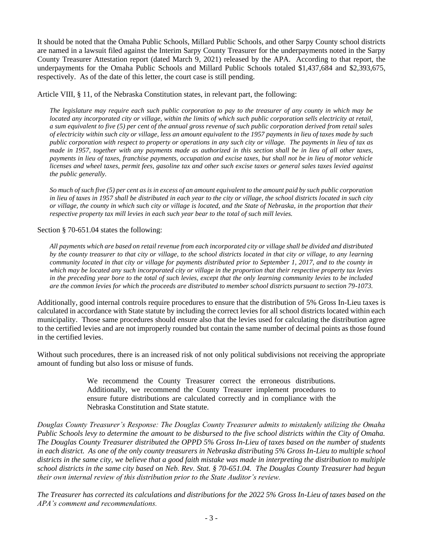It should be noted that the Omaha Public Schools, Millard Public Schools, and other Sarpy County school districts are named in a lawsuit filed against the Interim Sarpy County Treasurer for the underpayments noted in the Sarpy County Treasurer Attestation report (dated March 9, 2021) released by the APA. According to that report, the underpayments for the Omaha Public Schools and Millard Public Schools totaled \$1,437,684 and \$2,393,675, respectively. As of the date of this letter, the court case is still pending.

Article VIII, § 11, of the Nebraska Constitution states, in relevant part, the following:

*The legislature may require each such public corporation to pay to the treasurer of any county in which may be located any incorporated city or village, within the limits of which such public corporation sells electricity at retail, a sum equivalent to five (5) per cent of the annual gross revenue of such public corporation derived from retail sales of electricity within such city or village, less an amount equivalent to the 1957 payments in lieu of taxes made by such public corporation with respect to property or operations in any such city or village. The payments in lieu of tax as made in 1957, together with any payments made as authorized in this section shall be in lieu of all other taxes, payments in lieu of taxes, franchise payments, occupation and excise taxes, but shall not be in lieu of motor vehicle licenses and wheel taxes, permit fees, gasoline tax and other such excise taxes or general sales taxes levied against the public generally.*

*So much of such five (5) per cent as is in excess of an amount equivalent to the amount paid by such public corporation in lieu of taxes in 1957 shall be distributed in each year to the city or village, the school districts located in such city or village, the county in which such city or village is located, and the State of Nebraska, in the proportion that their respective property tax mill levies in each such year bear to the total of such mill levies.*

Section § 70-651.04 states the following:

*All payments which are based on retail revenue from each incorporated city or village shall be divided and distributed by the county treasurer to that city or village, to the school districts located in that city or village, to any learning community located in that city or village for payments distributed prior to September 1, 2017, and to the county in which may be located any such incorporated city or village in the proportion that their respective property tax levies*  in the preceding year bore to the total of such levies, except that the only learning community levies to be included *are the common levies for which the proceeds are distributed to member school districts pursuant to section 79-1073.*

Additionally, good internal controls require procedures to ensure that the distribution of 5% Gross In-Lieu taxes is calculated in accordance with State statute by including the correct levies for all school districts located within each municipality. Those same procedures should ensure also that the levies used for calculating the distribution agree to the certified levies and are not improperly rounded but contain the same number of decimal points as those found in the certified levies.

Without such procedures, there is an increased risk of not only political subdivisions not receiving the appropriate amount of funding but also loss or misuse of funds.

> We recommend the County Treasurer correct the erroneous distributions. Additionally, we recommend the County Treasurer implement procedures to ensure future distributions are calculated correctly and in compliance with the Nebraska Constitution and State statute.

*Douglas County Treasurer's Response: The Douglas County Treasurer admits to mistakenly utilizing the Omaha Public Schools levy to determine the amount to be disbursed to the five school districts within the City of Omaha. The Douglas County Treasurer distributed the OPPD 5% Gross In-Lieu of taxes based on the number of students in each district. As one of the only county treasurers in Nebraska distributing 5% Gross In-Lieu to multiple school districts in the same city, we believe that a good faith mistake was made in interpreting the distribution to multiple school districts in the same city based on Neb. Rev. Stat. § 70-651.04. The Douglas County Treasurer had begun their own internal review of this distribution prior to the State Auditor's review.*

*The Treasurer has corrected its calculations and distributions for the 2022 5% Gross In-Lieu of taxes based on the APA's comment and recommendations.*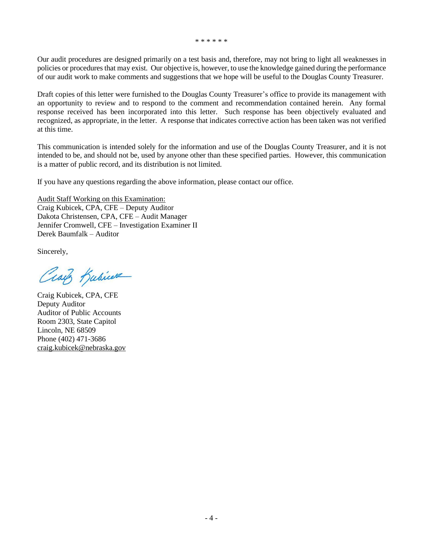\* \* \* \* \* \*

Our audit procedures are designed primarily on a test basis and, therefore, may not bring to light all weaknesses in policies or procedures that may exist. Our objective is, however, to use the knowledge gained during the performance of our audit work to make comments and suggestions that we hope will be useful to the Douglas County Treasurer.

Draft copies of this letter were furnished to the Douglas County Treasurer's office to provide its management with an opportunity to review and to respond to the comment and recommendation contained herein. Any formal response received has been incorporated into this letter. Such response has been objectively evaluated and recognized, as appropriate, in the letter. A response that indicates corrective action has been taken was not verified at this time.

This communication is intended solely for the information and use of the Douglas County Treasurer, and it is not intended to be, and should not be, used by anyone other than these specified parties. However, this communication is a matter of public record, and its distribution is not limited.

If you have any questions regarding the above information, please contact our office.

Audit Staff Working on this Examination: Craig Kubicek, CPA, CFE – Deputy Auditor Dakota Christensen, CPA, CFE – Audit Manager Jennifer Cromwell, CFE – Investigation Examiner II Derek Baumfalk – Auditor

Sincerely,

Craig Kubicere

Craig Kubicek, CPA, CFE Deputy Auditor Auditor of Public Accounts Room 2303, State Capitol Lincoln, NE 68509 Phone (402) 471-3686 [craig.kubicek@nebraska.gov](mailto:craig.kubicek@nebraska.gov)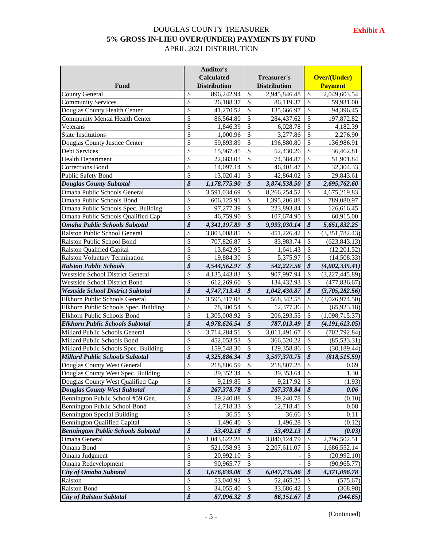## DOUGLAS COUNTY TREASURER **5% GROSS IN-LIEU OVER/(UNDER) PAYMENTS BY FUND** APRIL 2021 DISTRIBUTION

|                                           | <b>Auditor's</b>         |                     |                            |                     |                            |                     |
|-------------------------------------------|--------------------------|---------------------|----------------------------|---------------------|----------------------------|---------------------|
|                                           |                          | <b>Calculated</b>   |                            | Treasurer's         |                            | <b>Over/(Under)</b> |
| Fund                                      |                          | <b>Distribution</b> |                            | <b>Distribution</b> |                            | <b>Payment</b>      |
| <b>County General</b>                     | \$                       | 896,242.94          | $\overline{\mathcal{S}}$   | 2,945,846.48        | $\overline{\mathcal{S}}$   | 2,049,603.54        |
| <b>Community Services</b>                 | \$                       | 26,188.37           | $\overline{\mathcal{S}}$   | 86,119.37           | $\mathbb{S}$               | 59,931.00           |
| Douglas County Health Center              | \$                       | 41,270.52           | \$                         | 135,666.97          | $\mathcal{S}$              | 94,396.45           |
| <b>Community Mental Health Center</b>     | \$                       | 86,564.80           | \$                         | 284,437.62          | $\overline{\mathcal{S}}$   | 197,872.82          |
| Veterans                                  | \$                       | 1,846.39            | \$                         | 6,028.78            | $\mathcal{S}$              | 4,182.39            |
| <b>State Institutions</b>                 | $\overline{\mathcal{S}}$ | 1,000.96            | $\overline{\mathcal{S}}$   | 3,277.86            | $\overline{\mathcal{S}}$   | 2,276.90            |
| Douglas County Justice Center             | $\overline{\mathcal{S}}$ | 59,893.89           | $\overline{\mathcal{S}}$   | 196,880.80          | $\overline{\mathcal{S}}$   | 136,986.91          |
| <b>Debt Services</b>                      | \$                       | 15,967.45           | $\mathcal{S}$              | 52,430.26           | $\mathcal{S}$              | 36,462.81           |
| <b>Health Department</b>                  | $\overline{\$}$          | 22,683.03           | $\overline{\mathcal{S}}$   | 74,584.87           | $\overline{\mathcal{S}}$   | 51,901.84           |
| Corrections Bond                          | \$                       | 14,097.14           | $\overline{\mathcal{S}}$   | 46,401.47           | $\overline{\mathcal{S}}$   | 32,304.33           |
| Public Safety Bond                        | \$                       | 13,020.41           | $\mathcal{S}$              | 42,864.02           | $\boldsymbol{\mathsf{S}}$  | 29,843.61           |
| <b>Douglas County Subtotal</b>            | $\overline{\mathcal{S}}$ | 1,178,775.90        | $\overline{\mathcal{S}}$   | 3,874,538.50        | $\overline{\mathcal{S}}$   | 2,695,762.60        |
| Omaha Public Schools General              | \$                       | 3,591,034.69        | $\mathcal{S}$              | 8,266,254.52        | $\boldsymbol{\mathsf{S}}$  | 4,675,219.83        |
| Omaha Public Schools Bond                 | \$                       | 606,125.91          | $\mathcal{S}$              | 1,395,206.88        | $\boldsymbol{\mathsf{S}}$  | 789,080.97          |
| Omaha Public Schools Spec. Building       | \$                       | 97,277.39           | $\mathcal{S}$              | 223,893.84          | $\overline{\mathcal{S}}$   | 126,616.45          |
| Omaha Public Schools Qualified Cap        | \$                       | 46,759.90           | $\mathcal{S}$              | 107,674.90          | $\mathcal{S}$              | 60,915.00           |
| <b>Omaha Public Schools Subtotal</b>      | $\overline{\mathcal{S}}$ | 4,341,197.89        | $\boldsymbol{\mathcal{S}}$ | 9,993,030.14        | $\boldsymbol{\mathcal{S}}$ | 5,651,832.25        |
| Ralston Public School General             | \$                       | 3,803,008.85        | $\mathcal{S}$              | 451,226.42          | $\overline{\mathcal{S}}$   | (3,351,782.43)      |
| <b>Ralston Public School Bond</b>         | \$                       | 707,826.87          | $\mathcal{S}$              | 83,983.74           | $\mathcal{S}$              | (623, 843.13)       |
| <b>Ralston Qualified Capital</b>          | \$                       | 13,842.95           | \$                         | 1,641.43            | $\mathcal{S}$              | (12,201.52)         |
| <b>Ralston Voluntary Termination</b>      | $\overline{\$}$          | 19,884.30           | \$                         | 5,375.97            | \$                         | (14,508.33)         |
| <b>Ralston Public Schools</b>             | $\overline{\mathcal{S}}$ | 4,544,562.97        | \$                         | 542,227.56          | $\boldsymbol{\mathcal{S}}$ | (4,002,335.41)      |
| <b>Westside School District General</b>   | \$                       | 4,135,443.83        | \$                         | 907,997.94          | $\mathcal{S}$              | (3,227,445.89)      |
| Westside School District Bond             | $\overline{\$}$          | 612,269.60          | \$                         | 134,432.93          | \$                         | (477, 836.67)       |
| <b>Westside School District Subtotal</b>  | $\overline{\mathcal{S}}$ | 4,747,713.43        | \$                         | 1,042,430.87        | \$                         | (3,705,282.56)      |
| Elkhorn Public Schools General            | \$                       | 3,595,317.08        | \$                         | 568,342.58          | $\overline{\mathcal{S}}$   | (3,026,974.50)      |
| Elkhorn Public Schools Spec. Building     | \$                       | 78,300.54           | \$                         | 12,377.36           | \$                         | (65, 923.18)        |
| Elkhorn Public Schools Bond               | \$                       | 1,305,008.92        | \$                         | 206,293.55          | \$                         | (1,098,715.37)      |
| <b>Elkhorn Public Schools Subtotal</b>    | $\overline{\mathcal{S}}$ | 4,978,626.54        | \$                         | 787,013.49          | \$                         | (4,191,613.05)      |
| Millard Public Schools General            | $\overline{\mathcal{S}}$ | 3,714,284.51        | \$                         | 3,011,491.67        | \$                         | (702, 792.84)       |
| Millard Public Schools Bond               | \$                       | 452,053.53          | \$                         | 366,520.22          | \$                         | (85, 533.31)        |
| Millard Public Schools Spec. Building     | \$                       | 159,548.30          | \$                         | 129,358.86          | \$                         | (30, 189.44)        |
| <b>Millard Public Schools Subtotal</b>    | $\overline{\mathcal{S}}$ | 4,325,886.34        | \$                         | 3,507,370.75        | $\boldsymbol{\mathcal{S}}$ | (818, 515.59)       |
| Douglas County West General               | \$                       | 218,806.59          | \$                         | 218,807.28          | \$                         | 0.69                |
| Douglas County West Spec. Building        | \$                       | 39,352.34           | $\overline{\mathcal{S}}$   | 39,353.64           | $\overline{\$}$            | 1.30                |
| Douglas County West Qualified Cap         | \$                       | 9,219.85            | \$                         | 9,217.92            | $\boldsymbol{\mathsf{S}}$  | (1.93)              |
| <b>Douglas County West Subtotal</b>       | $\overline{\mathcal{S}}$ | 267,378.78          | \$                         | 267,378.84          | \$                         | 0.06                |
| Bennington Public School #59 Gen.         | \$                       | 39,240.88           | \$                         |                     | \$                         | (0.10)              |
|                                           | \$                       |                     |                            | 39,240.78           | \$                         |                     |
| Bennington Public School Bond             | \$                       | 12,718.33           | \$<br>\$                   | 12,718.41           | \$                         | 0.08                |
| <b>Bennington Special Building</b>        | \$                       | 36.55               | \$                         | 36.66<br>1,496.28   | \$                         | 0.11                |
| <b>Bennington Qualified Capital</b>       | $\overline{\mathcal{S}}$ | 1,496.40            |                            |                     |                            | (0.12)              |
| <b>Bennington Public Schools Subtotal</b> |                          | 53,492.16           | \$                         | 53,492.13           | \$                         | (0.03)              |
| Omaha General                             | \$                       | 1,043,622.28        | \$                         | 3,840,124.79        | \$                         | 2,796,502.51        |
| Omaha Bond                                | \$                       | 521,058.93          | \$                         | 2,207,611.07        | \$                         | 1,686,552.14        |
| Omaha Judgment                            | \$                       | 20,992.10           | \$                         |                     | \$                         | (20,992.10)         |
| Omaha Redevelopment                       | \$                       | 90,965.77           | \$                         |                     | $\boldsymbol{\mathsf{S}}$  | (90, 965.77)        |
| City of Omaha Subtotal                    | $\overline{\mathbf{S}}$  | 1,676,639.08        | \$                         | 6,047,735.86        | \$                         | 4,371,096.78        |
| Ralston                                   | \$                       | 53,040.92           | \$                         | 52,465.25           | \$                         | (575.67)            |
| Ralston Bond                              | $\overline{\$}$          | 34,055.40           | \$                         | 33,686.42           | $\$\,$                     | (368.98)            |
| <b>City of Ralston Subtotal</b>           | $\overline{\mathcal{S}}$ | 87,096.32           | \$                         | 86,151.67           | $\boldsymbol{\mathcal{S}}$ | (944.65)            |